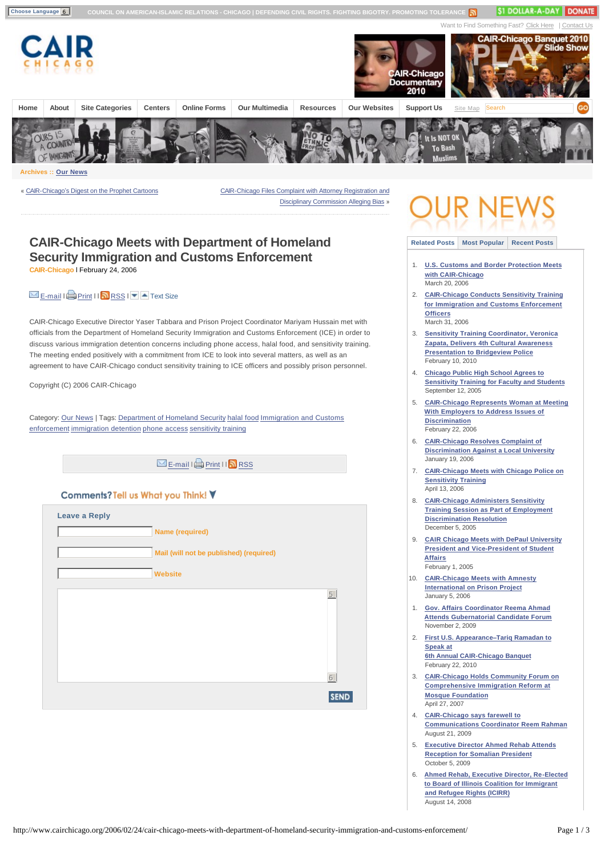

**Archives :: [Our News](http://www.cairchicago.org/category/our-news/)**

« CAIR-Chicago'[s Digest on the Prophet Cartoons](http://www.cairchicago.org/2006/02/23/cair-chicagos-digest-on-the-prophet-cartoons/) [CAIR-Chicago Files Complaint with Attorney Registration and](http://www.cairchicago.org/2006/02/24/cair-chicago-files-complaint-with-attorney-registration-and-disciplinary-commission-alleging-bias/) Disciplinary Commission Alleging Bias »

# **CAIR-Chicago Meets with Department of Homeland Security Immigration and Customs Enforcement**

**CAIR-Chicago** l February 24, 2006

## $\blacksquare$  [E-mail](http://www.cairchicago.org/2006/02/24/cair-chicago-meets-with-department-of-homeland-security-immigration-and-customs-enforcement/emailpopup/)I $\blacksquare$  [Print](http://www.cairchicago.org/2006/02/24/cair-chicago-meets-with-department-of-homeland-security-immigration-and-customs-enforcement/print/) I I $\blacksquare$  [RSS](http://www.cairchicago.org/feed/) I  $\blacksquare$  Text Size

CAIR-Chicago Executive Director Yaser Tabbara and Prison Project Coordinator Mariyam Hussain met with officials from the Department of Homeland Security Immigration and Customs Enforcement (ICE) in order to discuss various immigration detention concerns including phone access, halal food, and sensitivity training. The meeting ended positively with a commitment from ICE to look into several matters, as well as an agreement to have CAIR-Chicago conduct sensitivity training to ICE officers and possibly prison personnel.

Copyright (C) 2006 CAIR-Chicago

Category: [Our News](http://www.cairchicago.org/category/our-news/) | Tags: [Department of Homeland Securit](http://www.cairchicago.org/tag/department-of-homeland-security/)[y](http://www.cairchicago.org/tag/immigration-and-customs-enforcement/) [halal food](http://www.cairchicago.org/tag/halal-food/) Immigration and Customs enforcement [immigration detention](http://www.cairchicago.org/tag/immigration-detention/) [phone access](http://www.cairchicago.org/tag/phone-access/) [sensitivity training](http://www.cairchicago.org/tag/sensitivity-training/)

 $\boxtimes$  [E-mail](http://www.cairchicago.org/2006/02/24/cair-chicago-meets-with-department-of-homeland-security-immigration-and-customs-enforcement/emailpopup/) I  $\oplus$  [Print](http://www.cairchicago.org/2006/02/24/cair-chicago-meets-with-department-of-homeland-security-immigration-and-customs-enforcement/print/) I I  $\Box$  [RSS](http://www.cairchicago.org/feed/)

### Comments? Tell us What you Think! V

| Name (required)                         |   |
|-----------------------------------------|---|
| Mail (will not be published) (required) |   |
| <b>Website</b>                          |   |
|                                         | 5 |
|                                         |   |
|                                         |   |
|                                         |   |
|                                         | 6 |

**[Related Posts](http://www.cairchicago.org/2006/02/24/cair-chicago-meets-with-department-of-homeland-security-immigration-and-customs-enforcement/#) [Most Popular](http://www.cairchicago.org/2006/02/24/cair-chicago-meets-with-department-of-homeland-security-immigration-and-customs-enforcement/#) [Recent Posts](http://www.cairchicago.org/2006/02/24/cair-chicago-meets-with-department-of-homeland-security-immigration-and-customs-enforcement/#)**

- 1. **[U.S. Customs and Border Protection Meets](http://www.cairchicago.org/2006/03/20/u-s-customs-and-border-protection-meets-with-cair-chicago/)  with CAIR-Chicago** March 20, 2006
- 2. **[CAIR-Chicago Conducts Sensitivity Training](http://www.cairchicago.org/2006/03/31/cair-chicago-conducts-sensitivity-training-for-immigration-and-customs-enforcement-officers-2/)  for Immigration and Customs Enforcement Officers** March 31, 2006
- 3. **[Sensitivity Training Coordinator, Veronica](http://www.cairchicago.org/2010/02/10/sensitivity-training-coordinator-delivers-4th-cultural-awareness-presentation-to-bridgeview-police-department/)  Zapata, Delivers 4th Cultural Awareness Presentation to Bridgeview Police** February 10, 2010
- 4. **Chicago Public High School Agrees to [Sensitivity Training for Faculty and Students](http://www.cairchicago.org/2005/09/12/chicago-public-high-school-agrees-to-sensitivity-training-for-faculty-and-students/)** September 12, 2005
- 5. **[CAIR-Chicago Represents Woman at Meeting](http://www.cairchicago.org/2006/02/22/cair-chicago-represents-woman-at-meeting-with-employers-to-address-issues-of-discrimination/)  With Employers to Address Issues of Discrimination** February 22, 2006
- 6. **CAIR-Chicago Resolves Complaint of [Discrimination Against a Local University](http://www.cairchicago.org/2006/01/19/cair-chicago-resolves-complaint-of-discrimination-against-a-local-university/)** January 19, 2006
- 7. **[CAIR-Chicago Meets with Chicago Police on](http://www.cairchicago.org/2006/04/13/cair-chicago-meets-with-chicago-police-on-sensitivity-training/)  Sensitivity Training** April 13, 2006
- 8. **CAIR-Chicago Administers Sensitivity [Training Session as Part of Employment](http://www.cairchicago.org/2005/12/05/cair-chicago-administers-sensitivity-training-session-as-part-of-employment-discrimination-resolution/)  Discrimination Resolution** December 5, 2005
- 9. **[CAIR Chicago Meets with DePaul University](http://www.cairchicago.org/2005/02/01/cair-chicago-meets-with-depaul-university-president-and-vice-president-of-student-affairs/)  President and Vice-President of Student Affairs** February 1, 2005
- 10. **[CAIR-Chicago Meets with Amnesty](http://www.cairchicago.org/2006/01/05/cair-chicago-meets-with-amnesty-international-on-prison-project/)  International on Prison Project** January 5, 2006
- 1. **[Gov. Affairs Coordinator Reema Ahmad](http://www.cairchicago.org/2009/11/02/gov-affairs-coordinator-reema-ahmad-attends-gubernatorial-candidate-forum/)  Attends Gubernatorial Candidate Forum** November 2, 2009
- 2. **First U.S. Appearance–Tariq Ramadan to Speak at [6th Annual CAIR-Chicago Banquet](http://www.cairchicago.org/2010/02/22/tariq-ramadan-to-be-keynote-at-cair-chicagos-6th-annual-banquet/) February 22, 2010**
- 3. **[CAIR-Chicago Holds Community Forum on](http://www.cairchicago.org/2007/04/27/cair-chicago-holds-community-forum-on-comprehensive-immigration-reform-at-mosque-foundation/)  Comprehensive Immigration Reform at Mosque Foundation** April 27, 2007
- 4. **CAIR-Chicago says farewell to [Communications Coordinator Reem Rahman](http://www.cairchicago.org/2009/08/21/communications-coordinator-reem-rahman-to-graduate-cair-chicago/)** August 21, 2009
- 5. **[Executive Director Ahmed Rehab Attends](http://www.cairchicago.org/2009/10/05/executive-director-ahmed-rehab-attends-reception-for-somalian-president/)  Reception for Somalian President** October 5, 2009
- 6. **[Ahmed Rehab, Executive Director, Re-Elected](http://www.cairchicago.org/2008/08/14/ahmed-rehab-executive-director-re-elected-to-board-of-illinois-coalition-for-immigrant-and-refugee-rights-icirr/)  to Board of Illinois Coalition for Immigrant and Refugee Rights (ICIRR)** August 14, 2008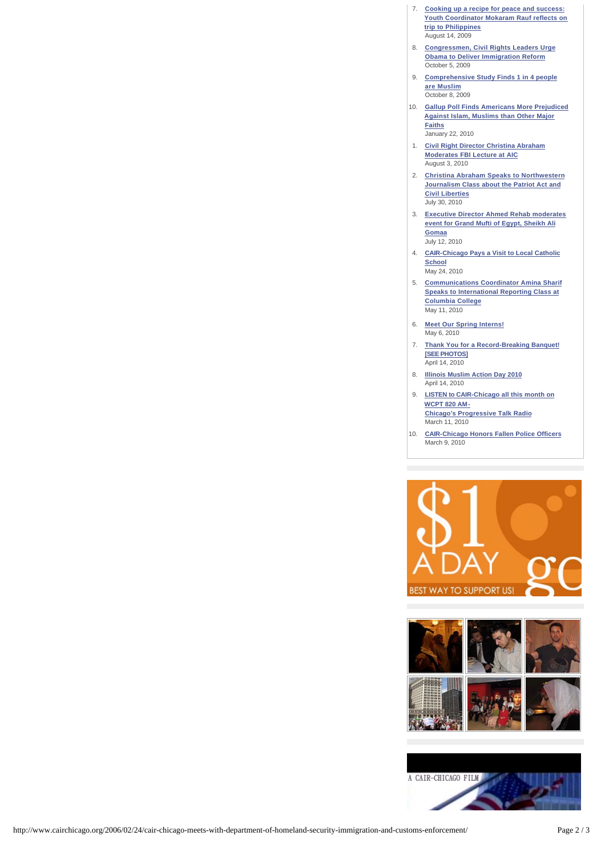- 7. **Cooking up a recipe for peace and success: [Youth Coordinator Mokaram Rauf reflects on](http://www.cairchicago.org/2009/08/14/cooking-up-a-recipe-for-peace-and-success-philippines-youth-leadership-program-pylp/)  trip to Philippines** August 14, 2009
- 8. **[Congressmen, Civil Rights Leaders Urge](http://www.cairchicago.org/2009/10/05/congressmen-civil-rights-leaders-urge-obama-to-deliver-immigration-reform/)  Obama to Deliver Immigration Reform** October 5, 2009
- 9. **[Comprehensive Study Finds 1 in 4 people](http://www.cairchicago.org/2009/10/08/comprehensive-study-finds-1-in-4-people-are-muslim/)  are Muslim** October 8, 2009
- 10. **[Gallup Poll Finds Americans More Prejudiced](http://www.cairchicago.org/2010/01/22/gallup-poll-finds-americans-more-prejudiced-against-islam-muslims-than-other-major-faiths/)  Against Islam, Muslims than Other Major Faiths** January 22, 2010
- 1. **[Civil Right Director Christina Abraham](http://www.cairchicago.org/2010/08/03/civil-right-director-christina-abraham-moderates-fbi-lecture-at-aic/)  Moderates FBI Lecture at AIC** August 3, 2010
- 2. **[Christina Abraham Speaks to Northwestern](http://www.cairchicago.org/2010/07/30/christina-abraham-speaks-to-northwestern-journalism-class-about-the-patriot-act-and-civil-liberties/)  Journalism Class about the Patriot Act and Civil Liberties** July 30, 2010
- 3. **[Executive Director Ahmed Rehab moderates](http://www.cairchicago.org/2010/07/12/executive-director-ahmed-rehab-moderates-event-for-grand-mufti-of-egypt-sheikh-ali-gomaa/)  event for Grand Mufti of Egypt, Sheikh Ali Gomaa** July 12, 2010
- 4. **[CAIR-Chicago Pays a Visit to Local Catholic](http://www.cairchicago.org/2010/05/24/cair-chicago-pays-a-visit-to-local-catholic-school/)  School** May 24, 2010
- 5. **[Communications Coordinator Amina Sharif](http://www.cairchicago.org/2010/05/11/communications-coordinator-amina-sharif-speaks-to-international-reporting-class-at-columbia-college/)  Speaks to International Reporting Class at Columbia College** May 11, 2010
- 6. **[Meet Our Spring Interns!](http://www.cairchicago.org/our-interns/)** May 6, 2010
- 7. **[Thank You for a Record-Breaking Banquet!](http://www.cairchicago.org/2010/04/14/thank-you-for-a-record-breaking-banquet-see-photos/)  [SEE PHOTOS]** April 14, 2010
- 8. **[Illinois Muslim Action Day 2010](http://www.cairchicago.org/2010/04/14/illinois-muslim-action-day-2010/)** April 14, 2010
- 9. **[LISTEN to CAIR-Chicago all this month on](http://www.cairchicago.org/2010/03/11/listen-to-cair-chicagos-ad-on-wcpt-progressive-talk-radio/)  WCPT 820 AM-Chicago's Progressive Talk Radio** March 11, 2010
- 10. **[CAIR-Chicago Honors Fallen Police Officers](http://www.cairchicago.org/2010/03/09/cair-chicago-honors-fallen-police-officers/)** March 9, 2010